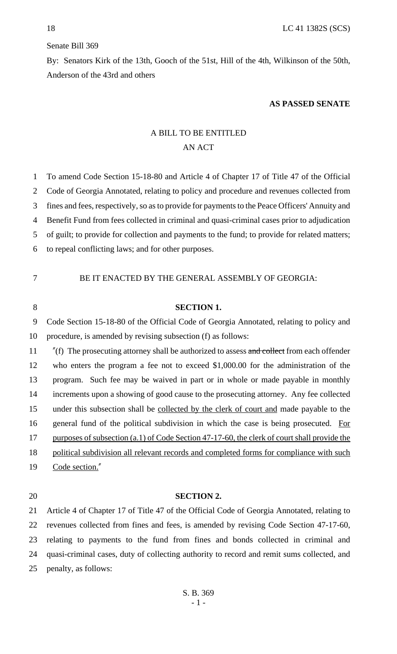### Senate Bill 369

By: Senators Kirk of the 13th, Gooch of the 51st, Hill of the 4th, Wilkinson of the 50th, Anderson of the 43rd and others

#### **AS PASSED SENATE**

# A BILL TO BE ENTITLED AN ACT

 To amend Code Section 15-18-80 and Article 4 of Chapter 17 of Title 47 of the Official Code of Georgia Annotated, relating to policy and procedure and revenues collected from fines and fees, respectively, so as to provide for payments to the Peace Officers' Annuity and Benefit Fund from fees collected in criminal and quasi-criminal cases prior to adjudication of guilt; to provide for collection and payments to the fund; to provide for related matters; to repeal conflicting laws; and for other purposes. BE IT ENACTED BY THE GENERAL ASSEMBLY OF GEORGIA: **SECTION 1.** Code Section 15-18-80 of the Official Code of Georgia Annotated, relating to policy and procedure, is amended by revising subsection (f) as follows: 11 "(f) The prosecuting attorney shall be authorized to assess and collect from each offender who enters the program a fee not to exceed \$1,000.00 for the administration of the program. Such fee may be waived in part or in whole or made payable in monthly increments upon a showing of good cause to the prosecuting attorney. Any fee collected 15 under this subsection shall be collected by the clerk of court and made payable to the 16 general fund of the political subdivision in which the case is being prosecuted. For 17 purposes of subsection (a.1) of Code Section 47-17-60, the clerk of court shall provide the

18 political subdivision all relevant records and completed forms for compliance with such

19 Code section."

### 20 **SECTION 2.**

 Article 4 of Chapter 17 of Title 47 of the Official Code of Georgia Annotated, relating to revenues collected from fines and fees, is amended by revising Code Section 47-17-60, relating to payments to the fund from fines and bonds collected in criminal and quasi-criminal cases, duty of collecting authority to record and remit sums collected, and penalty, as follows: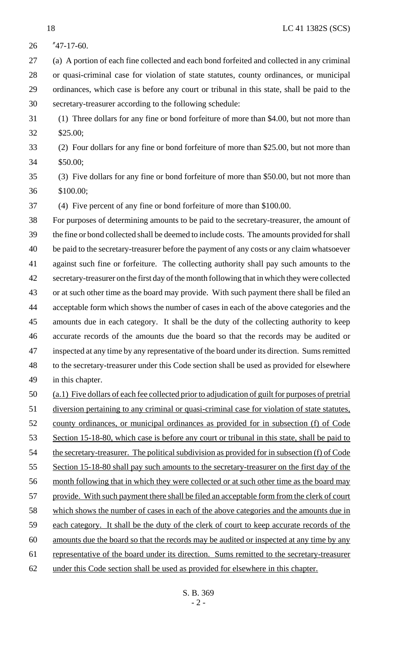"47-17-60. (a) A portion of each fine collected and each bond forfeited and collected in any criminal or quasi-criminal case for violation of state statutes, county ordinances, or municipal ordinances, which case is before any court or tribunal in this state, shall be paid to the secretary-treasurer according to the following schedule: (1) Three dollars for any fine or bond forfeiture of more than \$4.00, but not more than \$25.00; (2) Four dollars for any fine or bond forfeiture of more than \$25.00, but not more than \$50.00; (3) Five dollars for any fine or bond forfeiture of more than \$50.00, but not more than \$100.00; (4) Five percent of any fine or bond forfeiture of more than \$100.00. For purposes of determining amounts to be paid to the secretary-treasurer, the amount of the fine or bond collected shall be deemed to include costs. The amounts provided for shall 40 be paid to the secretary-treasurer before the payment of any costs or any claim whatsoever against such fine or forfeiture. The collecting authority shall pay such amounts to the secretary-treasurer on the first day of the month following that in which they were collected or at such other time as the board may provide. With such payment there shall be filed an acceptable form which shows the number of cases in each of the above categories and the amounts due in each category. It shall be the duty of the collecting authority to keep accurate records of the amounts due the board so that the records may be audited or inspected at any time by any representative of the board under its direction. Sums remitted to the secretary-treasurer under this Code section shall be used as provided for elsewhere in this chapter. (a.1) Five dollars of each fee collected prior to adjudication of guilt for purposes of pretrial diversion pertaining to any criminal or quasi-criminal case for violation of state statutes, county ordinances, or municipal ordinances as provided for in subsection (f) of Code 53 Section 15-18-80, which case is before any court or tribunal in this state, shall be paid to 54 the secretary-treasurer. The political subdivision as provided for in subsection (f) of Code 55 Section 15-18-80 shall pay such amounts to the secretary-treasurer on the first day of the month following that in which they were collected or at such other time as the board may 57 provide. With such payment there shall be filed an acceptable form from the clerk of court 58 which shows the number of cases in each of the above categories and the amounts due in each category. It shall be the duty of the clerk of court to keep accurate records of the amounts due the board so that the records may be audited or inspected at any time by any representative of the board under its direction. Sums remitted to the secretary-treasurer under this Code section shall be used as provided for elsewhere in this chapter.